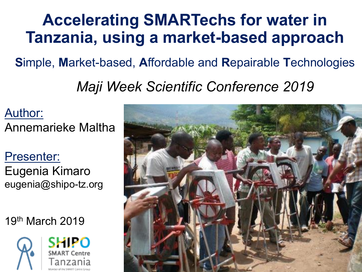#### **Accelerating SMARTechs for water in Tanzania, using a market-based approach**

**S**imple, **M**arket-based, **A**ffordable and **R**epairable **T**echnologies

*Maji Week Scientific Conference 2019* 

Author: Annemarieke Maltha

Presenter: Eugenia Kimaro eugenia@shipo-tz.org

19th March 2019



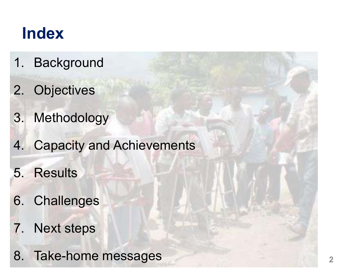#### **Index**

- 1. Background
- 2. Objectives
- 3. Methodology
- 4. Capacity and Achievements
- 5. Results
- 6. Challenges
- 7. Next steps
- 8. Take-home messages **2**<sup>2</sup>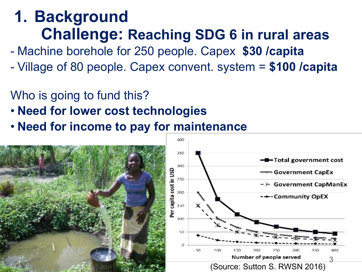#### **1. Background Challenge: Reaching SDG 6 in rural areas**

- Machine borehole for 250 people. Capex **\$30 /capita** 

- Village of 80 people. Capex convent. system = **\$100 /capita** 

#### Who is going to fund this?

- **Need for lower cost technologies**
- **Need for income to pay for maintenance**

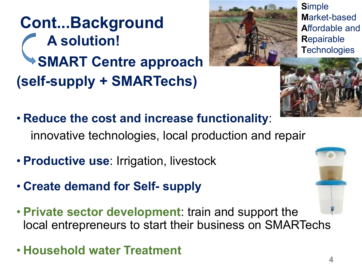**SMART Centre approach (self-supply + SMARTechs) Cont...Background A solution!**



**S**imple **M**arket-based **A**ffordable and **R**epairable **T**echnologies



- **Reduce the cost and increase functionality**: innovative technologies, local production and repair
- **Productive use**: Irrigation, livestock
- **Create demand for Self- supply**
- **Private sector development**: train and support the local entrepreneurs to start their business on SMARTechs
- **Household water Treatment**

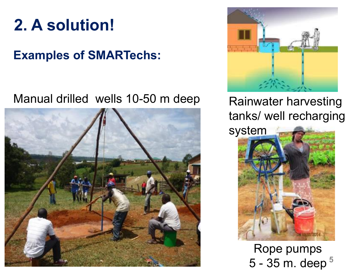## **2. A solution!**

#### **Examples of SMARTechs:**

#### Manual drilled wells 10-50 m deep Rainwater harvesting



![](_page_4_Picture_4.jpeg)

# tanks/ well recharging

![](_page_4_Picture_6.jpeg)

Rope pumps 5 - 35 m. deep **<sup>5</sup>**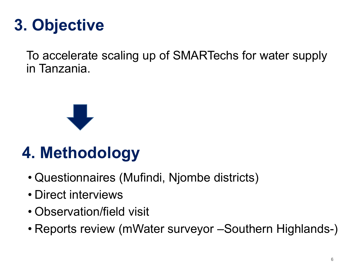## **3. Objective**

To accelerate scaling up of SMARTechs for water supply in Tanzania.

![](_page_5_Picture_2.jpeg)

# **4. Methodology**

- Questionnaires (Mufindi, Njombe districts)
- Direct interviews
- Observation/field visit
- Reports review (mWater surveyor –Southern Highlands-)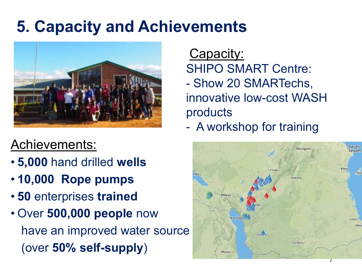## **5. Capacity and Achievements**

![](_page_6_Picture_1.jpeg)

#### Achievements:

- **5,000** hand drilled **wells**
- **10,000 Rope pumps**
- **50** enterprises **trained**
- Over **500,000 people** now have an improved water source (over **50% self-supply**)

Capacity: SHIPO SMART Centre: - Show 20 SMARTechs, innovative low-cost WASH products

- A workshop for training

![](_page_6_Figure_9.jpeg)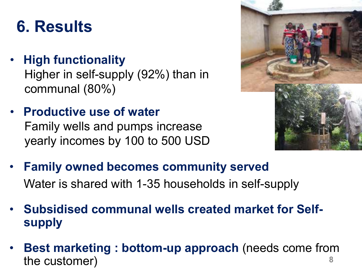## **6. Results**

• **High functionality** 

Higher in self-supply (92%) than in communal (80%)

• **Productive use of water**  Family wells and pumps increase yearly incomes by 100 to 500 USD

![](_page_7_Picture_4.jpeg)

- **Family owned becomes community served**  Water is shared with 1-35 households in self-supply
- **Subsidised communal wells created market for Selfsupply**
- **Best marketing : bottom-up approach** (needs come from the customer) **8**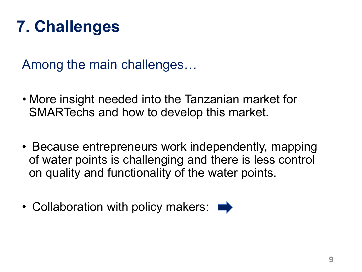# **7. Challenges**

Among the main challenges…

- More insight needed into the Tanzanian market for SMARTechs and how to develop this market.
- Because entrepreneurs work independently, mapping of water points is challenging and there is less control on quality and functionality of the water points.
- Collaboration with policy makers:  $\blacksquare$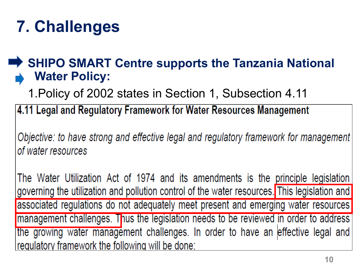# **7. Challenges**

#### **→ SHIPO SMART Centre supports the Tanzania National Water Policy:**

1.Policy of 2002 states in Section 1, Subsection 4.11

4.11 Legal and Regulatory Framework for Water Resources Management

Objective: to have strong and effective legal and regulatory framework for management of water resources

The Water Utilization Act of 1974 and its amendments is the principle legislation governing the utilization and pollution control of the water resources. This legislation and associated regulations do not adequately meet present and emerging water resources management challenges. Thus the legislation needs to be reviewed in order to address the growing water management challenges. In order to have an effective legal and requiatory framework the following will be done: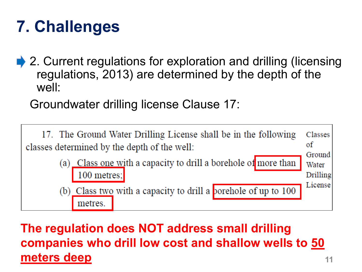# **7. Challenges**

2. Current regulations for exploration and drilling (licensing regulations, 2013) are determined by the depth of the well:

Groundwater drilling license Clause 17:

![](_page_10_Figure_3.jpeg)

**The regulation does NOT address small drilling companies who drill low cost and shallow wells to 50 meters deep <sup>11</sup>**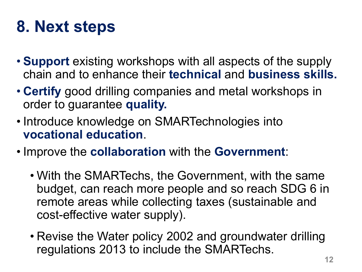## **8. Next steps**

- **Support** existing workshops with all aspects of the supply chain and to enhance their **technical** and **business skills.**
- **Certify** good drilling companies and metal workshops in order to guarantee **quality.**
- Introduce knowledge on SMARTechnologies into **vocational education**.
- Improve the **collaboration** with the **Government**:
	- With the SMARTechs, the Government, with the same budget, can reach more people and so reach SDG 6 in remote areas while collecting taxes (sustainable and cost-effective water supply).
	- Revise the Water policy 2002 and groundwater drilling regulations 2013 to include the SMARTechs.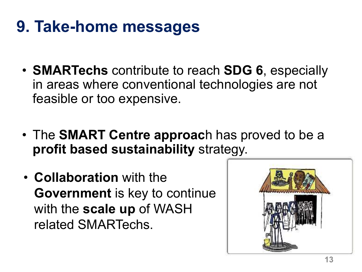## **9. Take-home messages**

- **SMARTechs** contribute to reach **SDG 6**, especially in areas where conventional technologies are not feasible or too expensive.
- The **SMART Centre approac**h has proved to be a **profit based sustainability** strategy.
- **Collaboration** with the **Government** is key to continue with the **scale up** of WASH related SMARTechs.

![](_page_12_Picture_4.jpeg)